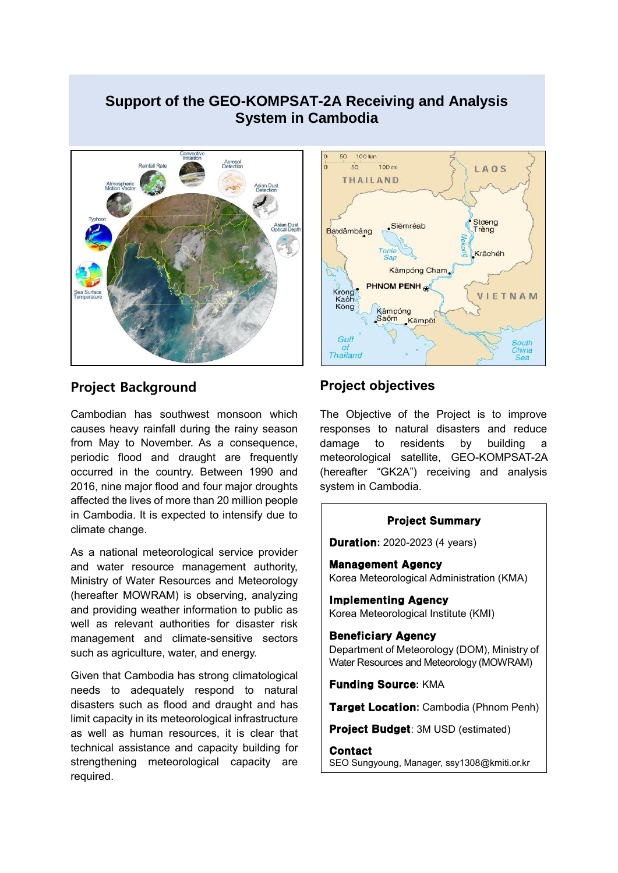# **Support of the GEO-KOMPSAT-2A Receiving and Analysis System in Cambodia**



## **Project Background**

Cambodian has southwest monsoon which causes heavy rainfall during the rainy season from May to November. As a consequence, periodic flood and draught are frequently occurred in the country. Between 1990 and 2016, nine major flood and four major droughts affected the lives of more than 20 million people in Cambodia. It is expected to intensify due to climate change.

As a national meteorological service provider and water resource management authority, Ministry of Water Resources and Meteorology (hereafter MOWRAM) is observing, analyzing and providing weather information to public as well as relevant authorities for disaster risk management and climate-sensitive sectors such as agriculture, water, and energy.

Given that Cambodia has strong climatological needs to adequately respond to natural disasters such as flood and draught and has limit capacity in its meteorological infrastructure as well as human resources, it is clear that technical assistance and capacity building for strengthening meteorological capacity are required.



## **Project objectives**

The Objective of the Project is to improve responses to natural disasters and reduce damage to residents by building a meteorological satellite, GEO-KOMPSAT-2A (hereafter "GK2A") receiving and analysis system in Cambodia.

#### Project Summary

**Duration:** 2020-2023 (4 years)

Management Agency Korea Meteorological Administration (KMA)

Implementing Agency Korea Meteorological Institute (KMI)

#### Beneficiary Agency

Department of Meteorology (DOM), Ministry of Water Resources and Meteorology (MOWRAM)

Funding Source**:** KMA

Target Location**:** Cambodia (Phnom Penh)

Project Budget: 3M USD (estimated)

**Contact** SEO Sungyoung, Manager, ssy1308@kmiti.or.kr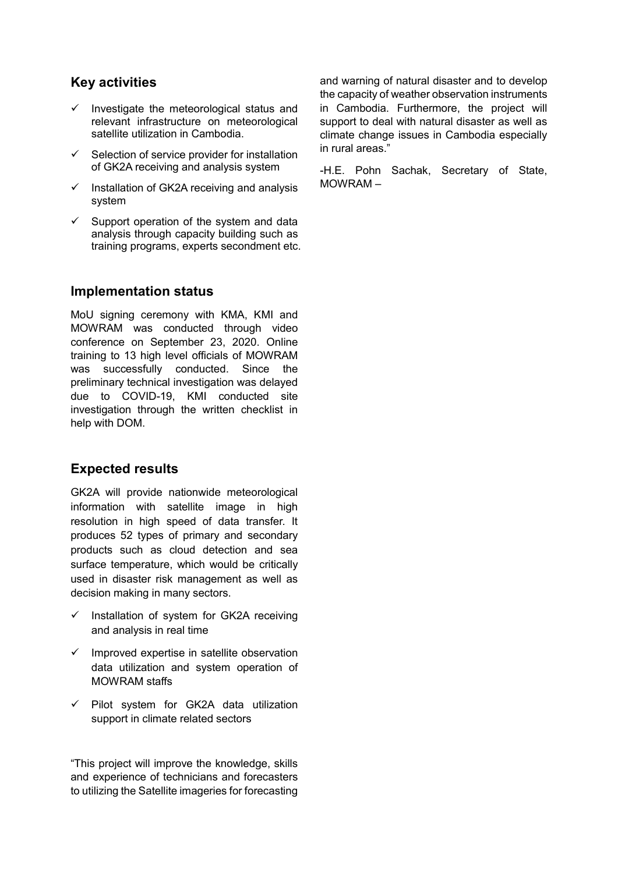## **Key activities**

- Investigate the meteorological status and relevant infrastructure on meteorological satellite utilization in Cambodia.
- $\checkmark$  Selection of service provider for installation of GK2A receiving and analysis system
- $\checkmark$  Installation of GK2A receiving and analysis system
- $\checkmark$  Support operation of the system and data analysis through capacity building such as training programs, experts secondment etc.

### **Implementation status**

MoU signing ceremony with KMA, KMI and MOWRAM was conducted through video conference on September 23, 2020. Online training to 13 high level officials of MOWRAM was successfully conducted. Since the preliminary technical investigation was delayed due to COVID-19, KMI conducted site investigation through the written checklist in help with DOM.

### **Expected results**

GK2A will provide nationwide meteorological information with satellite image in high resolution in high speed of data transfer. It produces 52 types of primary and secondary products such as cloud detection and sea surface temperature, which would be critically used in disaster risk management as well as decision making in many sectors.

- $\checkmark$  Installation of system for GK2A receiving and analysis in real time
- $\checkmark$  Improved expertise in satellite observation data utilization and system operation of MOWRAM staffs
- $\checkmark$  Pilot system for GK2A data utilization support in climate related sectors

"This project will improve the knowledge, skills and experience of technicians and forecasters to utilizing the Satellite imageries for forecasting

and warning of natural disaster and to develop the capacity of weather observation instruments in Cambodia. Furthermore, the project will support to deal with natural disaster as well as climate change issues in Cambodia especially in rural areas."

-H.E. Pohn Sachak, Secretary of State, MOWRAM –